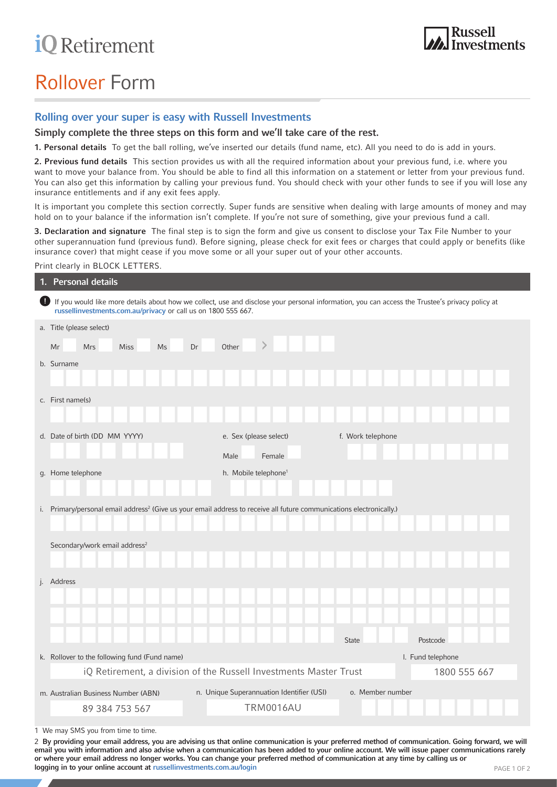# **iQ** Retirement

# Rollover Form

## Rolling over your super is easy with Russell Investments

Simply complete the three steps on this form and we'll take care of the rest.

1. Personal details To get the ball rolling, we've inserted our details (fund name, etc). All you need to do is add in yours.

2. Previous fund details This section provides us with all the required information about your previous fund, i.e. where you want to move your balance from. You should be able to find all this information on a statement or letter from your previous fund. You can also get this information by calling your previous fund. You should check with your other funds to see if you will lose any insurance entitlements and if any exit fees apply.

It is important you complete this section correctly. Super funds are sensitive when dealing with large amounts of money and may hold on to your balance if the information isn't complete. If you're not sure of something, give your previous fund a call.

3. Declaration and signature The final step is to sign the form and give us consent to disclose your Tax File Number to your other superannuation fund (previous fund). Before signing, please check for exit fees or charges that could apply or benefits (like insurance cover) that might cease if you move some or all your super out of your other accounts.

#### Print clearly in BLOCK LETTERS.

|   | 1. Personal details                                                                                                                                                                                              |                                           |                   |              |
|---|------------------------------------------------------------------------------------------------------------------------------------------------------------------------------------------------------------------|-------------------------------------------|-------------------|--------------|
| D | If you would like more details about how we collect, use and disclose your personal information, you can access the Trustee's privacy policy at<br>russellinvestments.com.au/privacy or call us on 1800 555 667. |                                           |                   |              |
|   | a. Title (please select)                                                                                                                                                                                         |                                           |                   |              |
|   | Dr<br><b>Mrs</b><br><b>Miss</b><br><b>Ms</b><br>Mr                                                                                                                                                               | $\geq$<br>Other                           |                   |              |
|   | b. Surname                                                                                                                                                                                                       |                                           |                   |              |
|   |                                                                                                                                                                                                                  |                                           |                   |              |
|   | c. First name(s)                                                                                                                                                                                                 |                                           |                   |              |
|   |                                                                                                                                                                                                                  |                                           |                   |              |
|   | d. Date of birth (DD MM YYYY)                                                                                                                                                                                    | e. Sex (please select)                    | f. Work telephone |              |
|   |                                                                                                                                                                                                                  | Male<br>Female                            |                   |              |
|   | g. Home telephone                                                                                                                                                                                                | h. Mobile telephone <sup>1</sup>          |                   |              |
|   |                                                                                                                                                                                                                  |                                           |                   |              |
|   | i. Primary/personal email address <sup>2</sup> (Give us your email address to receive all future communications electronically.)                                                                                 |                                           |                   |              |
|   |                                                                                                                                                                                                                  |                                           |                   |              |
|   | Secondary/work email address <sup>2</sup>                                                                                                                                                                        |                                           |                   |              |
|   |                                                                                                                                                                                                                  |                                           |                   |              |
|   | j. Address                                                                                                                                                                                                       |                                           |                   |              |
|   |                                                                                                                                                                                                                  |                                           |                   |              |
|   |                                                                                                                                                                                                                  |                                           |                   |              |
|   |                                                                                                                                                                                                                  |                                           | <b>State</b>      | Postcode     |
|   | k. Rollover to the following fund (Fund name)                                                                                                                                                                    |                                           | I. Fund telephone |              |
|   | iQ Retirement, a division of the Russell Investments Master Trust                                                                                                                                                |                                           |                   | 1800 555 667 |
|   | m. Australian Business Number (ABN)                                                                                                                                                                              | n. Unique Superannuation Identifier (USI) | o. Member number  |              |
|   | 89 384 753 567                                                                                                                                                                                                   | <b>TRM0016AU</b>                          |                   |              |

1 We may SMS you from time to time.

2 By providing your email address, you are advising us that online communication is your preferred method of communication. Going forward, we will email you with information and also advise when a communication has been added to your online account. We will issue paper communications rarely or where your email address no longer works. You can change your preferred method of communication at any time by calling us or logging in to your online account at [russellinvestments.com.au/login](http://russellinvestments.com.au/login)